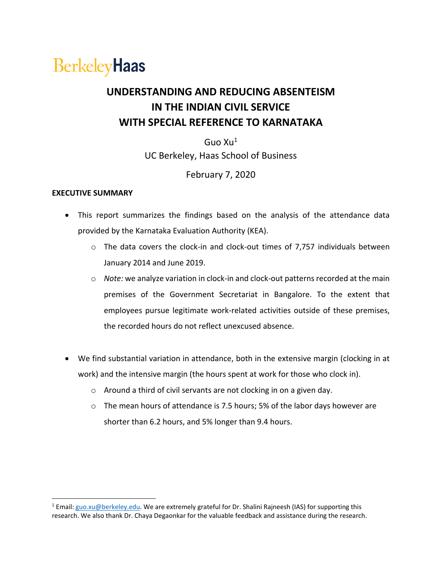# **BerkeleyHaas**

# **UNDERSTANDING AND REDUCING ABSENTEISM IN THE INDIAN CIVIL SERVICE WITH SPECIAL REFERENCE TO KARNATAKA**

Guo  $Xu<sup>1</sup>$ UC Berkeley, Haas School of Business

# February 7, 2020

### **EXECUTIVE SUMMARY**

- This report summarizes the findings based on the analysis of the attendance data provided by the Karnataka Evaluation Authority (KEA).
	- o The data covers the clock-in and clock-out times of 7,757 individuals between January 2014 and June 2019.
	- o *Note:* we analyze variation in clock-in and clock-out patterns recorded at the main premises of the Government Secretariat in Bangalore. To the extent that employees pursue legitimate work-related activities outside of these premises, the recorded hours do not reflect unexcused absence.
- We find substantial variation in attendance, both in the extensive margin (clocking in at work) and the intensive margin (the hours spent at work for those who clock in).
	- o Around a third of civil servants are not clocking in on a given day.
	- $\circ$  The mean hours of attendance is 7.5 hours; 5% of the labor days however are shorter than 6.2 hours, and 5% longer than 9.4 hours.

<sup>&</sup>lt;sup>1</sup> Email: [guo.xu@berkeley.edu.](mailto:guo.xu@berkeley.edu) We are extremely grateful for Dr. Shalini Rajneesh (IAS) for supporting this research. We also thank Dr. Chaya Degaonkar for the valuable feedback and assistance during the research.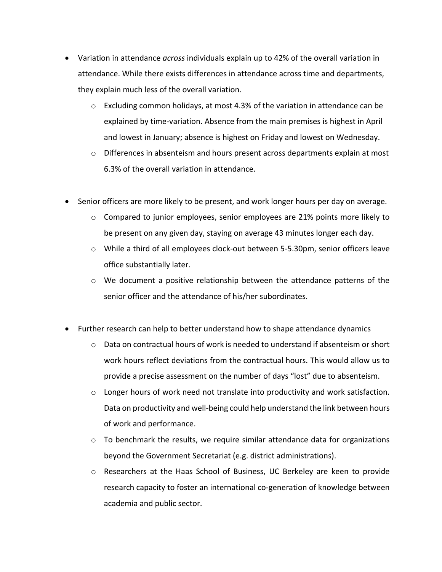- Variation in attendance *across* individuals explain up to 42% of the overall variation in attendance. While there exists differences in attendance across time and departments, they explain much less of the overall variation.
	- $\circ$  Excluding common holidays, at most 4.3% of the variation in attendance can be explained by time-variation. Absence from the main premises is highest in April and lowest in January; absence is highest on Friday and lowest on Wednesday.
	- $\circ$  Differences in absenteism and hours present across departments explain at most 6.3% of the overall variation in attendance.
- Senior officers are more likely to be present, and work longer hours per day on average.
	- o Compared to junior employees, senior employees are 21% points more likely to be present on any given day, staying on average 43 minutes longer each day.
	- o While a third of all employees clock-out between 5-5.30pm, senior officers leave office substantially later.
	- $\circ$  We document a positive relationship between the attendance patterns of the senior officer and the attendance of his/her subordinates.
- Further research can help to better understand how to shape attendance dynamics
	- $\circ$  Data on contractual hours of work is needed to understand if absenteism or short work hours reflect deviations from the contractual hours. This would allow us to provide a precise assessment on the number of days "lost" due to absenteism.
	- $\circ$  Longer hours of work need not translate into productivity and work satisfaction. Data on productivity and well-being could help understand the link between hours of work and performance.
	- $\circ$  To benchmark the results, we require similar attendance data for organizations beyond the Government Secretariat (e.g. district administrations).
	- o Researchers at the Haas School of Business, UC Berkeley are keen to provide research capacity to foster an international co-generation of knowledge between academia and public sector.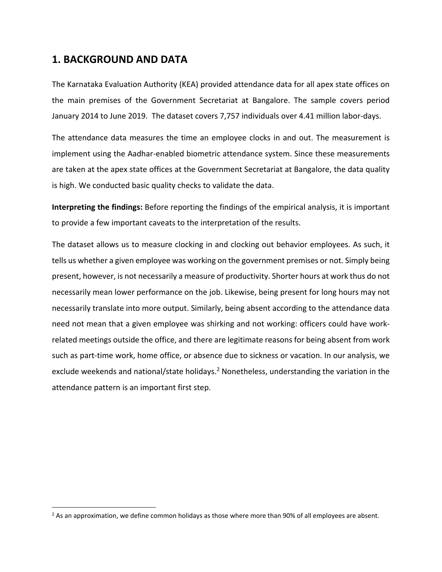# **1. BACKGROUND AND DATA**

The Karnataka Evaluation Authority (KEA) provided attendance data for all apex state offices on the main premises of the Government Secretariat at Bangalore. The sample covers period January 2014 to June 2019. The dataset covers 7,757 individuals over 4.41 million labor-days.

The attendance data measures the time an employee clocks in and out. The measurement is implement using the Aadhar-enabled biometric attendance system. Since these measurements are taken at the apex state offices at the Government Secretariat at Bangalore, the data quality is high. We conducted basic quality checks to validate the data.

**Interpreting the findings:** Before reporting the findings of the empirical analysis, it is important to provide a few important caveats to the interpretation of the results.

The dataset allows us to measure clocking in and clocking out behavior employees. As such, it tells us whether a given employee was working on the government premises or not. Simply being present, however, is not necessarily a measure of productivity. Shorter hours at work thus do not necessarily mean lower performance on the job. Likewise, being present for long hours may not necessarily translate into more output. Similarly, being absent according to the attendance data need not mean that a given employee was shirking and not working: officers could have workrelated meetings outside the office, and there are legitimate reasons for being absent from work such as part-time work, home office, or absence due to sickness or vacation. In our analysis, we exclude weekends and national/state holidays.<sup>2</sup> Nonetheless, understanding the variation in the attendance pattern is an important first step.

 $<sup>2</sup>$  As an approximation, we define common holidays as those where more than 90% of all employees are absent.</sup>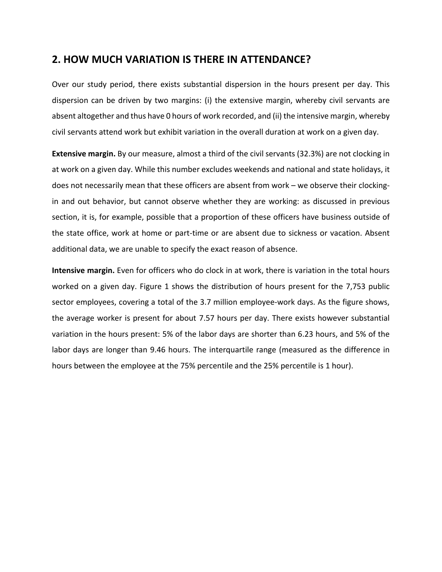# **2. HOW MUCH VARIATION IS THERE IN ATTENDANCE?**

Over our study period, there exists substantial dispersion in the hours present per day. This dispersion can be driven by two margins: (i) the extensive margin, whereby civil servants are absent altogether and thus have 0 hours of work recorded, and (ii) the intensive margin, whereby civil servants attend work but exhibit variation in the overall duration at work on a given day.

**Extensive margin.** By our measure, almost a third of the civil servants (32.3%) are not clocking in at work on a given day. While this number excludes weekends and national and state holidays, it does not necessarily mean that these officers are absent from work – we observe their clockingin and out behavior, but cannot observe whether they are working: as discussed in previous section, it is, for example, possible that a proportion of these officers have business outside of the state office, work at home or part-time or are absent due to sickness or vacation. Absent additional data, we are unable to specify the exact reason of absence.

**Intensive margin.** Even for officers who do clock in at work, there is variation in the total hours worked on a given day. Figure 1 shows the distribution of hours present for the 7,753 public sector employees, covering a total of the 3.7 million employee-work days. As the figure shows, the average worker is present for about 7.57 hours per day. There exists however substantial variation in the hours present: 5% of the labor days are shorter than 6.23 hours, and 5% of the labor days are longer than 9.46 hours. The interquartile range (measured as the difference in hours between the employee at the 75% percentile and the 25% percentile is 1 hour).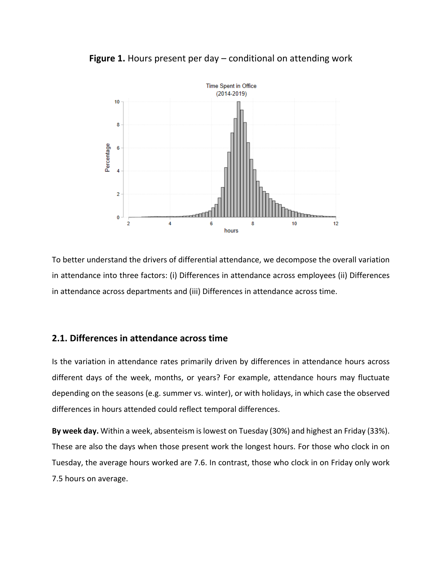

**Figure 1.** Hours present per day – conditional on attending work

To better understand the drivers of differential attendance, we decompose the overall variation in attendance into three factors: (i) Differences in attendance across employees (ii) Differences in attendance across departments and (iii) Differences in attendance across time.

# **2.1. Differences in attendance across time**

Is the variation in attendance rates primarily driven by differences in attendance hours across different days of the week, months, or years? For example, attendance hours may fluctuate depending on the seasons (e.g. summer vs. winter), or with holidays, in which case the observed differences in hours attended could reflect temporal differences.

**By week day.** Within a week, absenteism is lowest on Tuesday (30%) and highest an Friday (33%). These are also the days when those present work the longest hours. For those who clock in on Tuesday, the average hours worked are 7.6. In contrast, those who clock in on Friday only work 7.5 hours on average.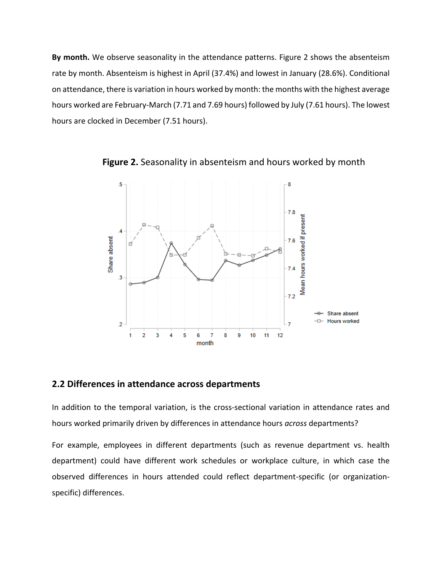**By month.** We observe seasonality in the attendance patterns. Figure 2 shows the absenteism rate by month. Absenteism is highest in April (37.4%) and lowest in January (28.6%). Conditional on attendance, there is variation in hours worked by month: the months with the highest average hours worked are February-March (7.71 and 7.69 hours) followed by July (7.61 hours). The lowest hours are clocked in December (7.51 hours).



**Figure 2.** Seasonality in absenteism and hours worked by month

# **2.2 Differences in attendance across departments**

In addition to the temporal variation, is the cross-sectional variation in attendance rates and hours worked primarily driven by differences in attendance hours *across* departments?

For example, employees in different departments (such as revenue department vs. health department) could have different work schedules or workplace culture, in which case the observed differences in hours attended could reflect department-specific (or organizationspecific) differences.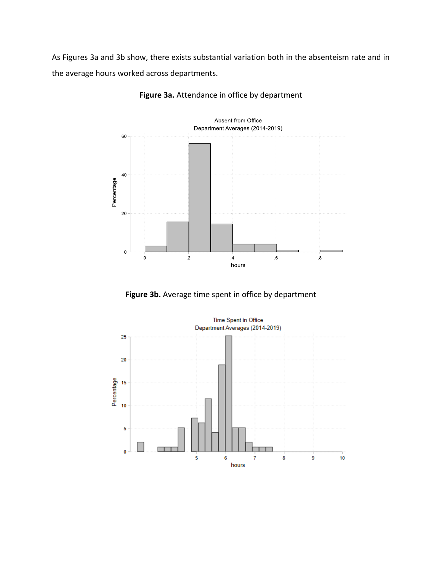As Figures 3a and 3b show, there exists substantial variation both in the absenteism rate and in the average hours worked across departments.



**Figure 3a.** Attendance in office by department

**Figure 3b.** Average time spent in office by department

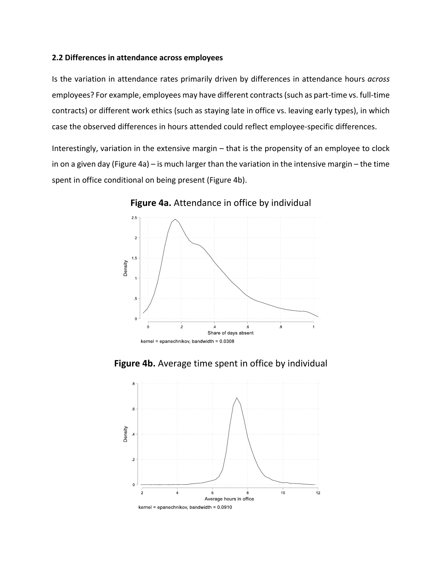#### **2.2 Differences in attendance across employees**

Is the variation in attendance rates primarily driven by differences in attendance hours *across* employees? For example, employees may have different contracts (such as part-time vs. full-time contracts) or different work ethics (such as staying late in office vs. leaving early types), in which case the observed differences in hours attended could reflect employee-specific differences.

Interestingly, variation in the extensive margin – that is the propensity of an employee to clock in on a given day (Figure 4a) – is much larger than the variation in the intensive margin – the time spent in office conditional on being present (Figure 4b).



**Figure 4a.** Attendance in office by individual

**Figure 4b.** Average time spent in office by individual

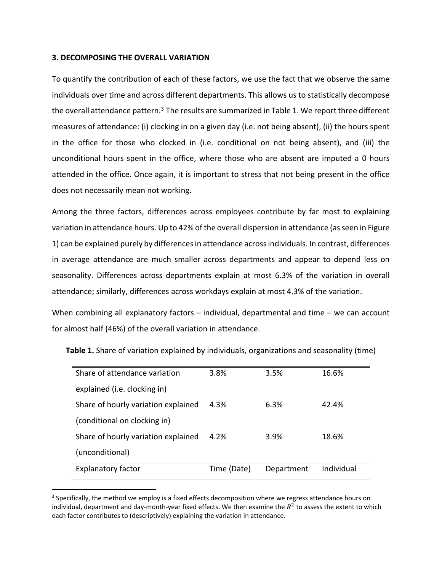#### **3. DECOMPOSING THE OVERALL VARIATION**

To quantify the contribution of each of these factors, we use the fact that we observe the same individuals over time and across different departments. This allows us to statistically decompose the overall attendance pattern.<sup>3</sup> The results are summarized in Table 1. We report three different measures of attendance: (i) clocking in on a given day (i.e. not being absent), (ii) the hours spent in the office for those who clocked in (i.e. conditional on not being absent), and (iii) the unconditional hours spent in the office, where those who are absent are imputed a 0 hours attended in the office. Once again, it is important to stress that not being present in the office does not necessarily mean not working.

Among the three factors, differences across employees contribute by far most to explaining variation in attendance hours. Up to 42% of the overall dispersion in attendance (as seen in Figure 1) can be explained purely by differences in attendance across individuals. In contrast, differences in average attendance are much smaller across departments and appear to depend less on seasonality. Differences across departments explain at most 6.3% of the variation in overall attendance; similarly, differences across workdays explain at most 4.3% of the variation.

When combining all explanatory factors – individual, departmental and time – we can account for almost half (46%) of the overall variation in attendance.

| Share of attendance variation       | 3.8%        | 3.5%       | 16.6%      |
|-------------------------------------|-------------|------------|------------|
| explained (i.e. clocking in)        |             |            |            |
| Share of hourly variation explained | 4.3%        | 6.3%       | 42.4%      |
| (conditional on clocking in)        |             |            |            |
| Share of hourly variation explained | 4.2%        | 3.9%       | 18.6%      |
| (unconditional)                     |             |            |            |
| <b>Explanatory factor</b>           | Time (Date) | Department | Individual |

**Table 1.** Share of variation explained by individuals, organizations and seasonality (time)

 $3$  Specifically, the method we employ is a fixed effects decomposition where we regress attendance hours on individual, department and day-month-year fixed effects. We then examine the  $R^2$  to assess the extent to which each factor contributes to (descriptively) explaining the variation in attendance.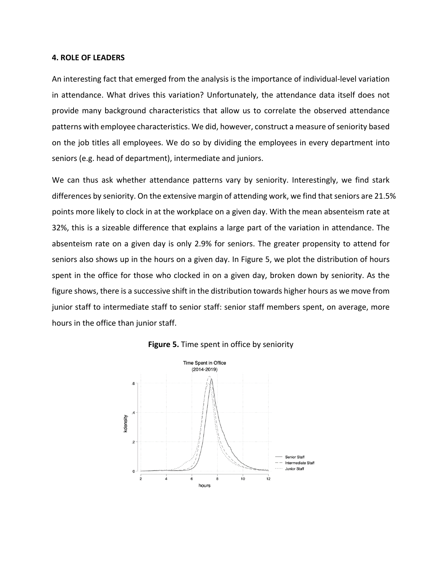#### **4. ROLE OF LEADERS**

An interesting fact that emerged from the analysis is the importance of individual-level variation in attendance. What drives this variation? Unfortunately, the attendance data itself does not provide many background characteristics that allow us to correlate the observed attendance patterns with employee characteristics. We did, however, construct a measure of seniority based on the job titles all employees. We do so by dividing the employees in every department into seniors (e.g. head of department), intermediate and juniors.

We can thus ask whether attendance patterns vary by seniority. Interestingly, we find stark differences by seniority. On the extensive margin of attending work, we find that seniors are 21.5% points more likely to clock in at the workplace on a given day. With the mean absenteism rate at 32%, this is a sizeable difference that explains a large part of the variation in attendance. The absenteism rate on a given day is only 2.9% for seniors. The greater propensity to attend for seniors also shows up in the hours on a given day. In Figure 5, we plot the distribution of hours spent in the office for those who clocked in on a given day, broken down by seniority. As the figure shows, there is a successive shift in the distribution towards higher hours as we move from junior staff to intermediate staff to senior staff: senior staff members spent, on average, more hours in the office than junior staff.



#### **Figure 5.** Time spent in office by seniority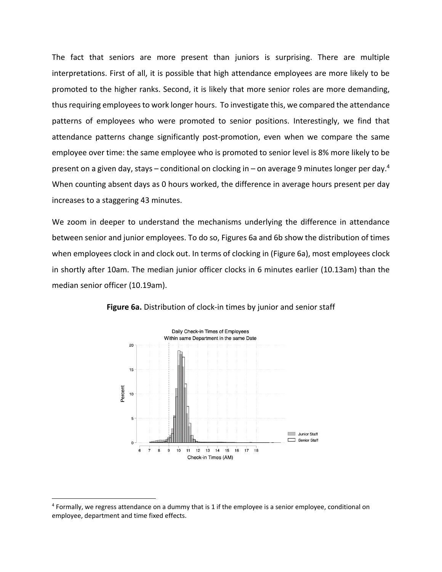The fact that seniors are more present than juniors is surprising. There are multiple interpretations. First of all, it is possible that high attendance employees are more likely to be promoted to the higher ranks. Second, it is likely that more senior roles are more demanding, thus requiring employees to work longer hours. To investigate this, we compared the attendance patterns of employees who were promoted to senior positions. Interestingly, we find that attendance patterns change significantly post-promotion, even when we compare the same employee over time: the same employee who is promoted to senior level is 8% more likely to be present on a given day, stays – conditional on clocking in – on average 9 minutes longer per day.<sup>4</sup> When counting absent days as 0 hours worked, the difference in average hours present per day increases to a staggering 43 minutes.

We zoom in deeper to understand the mechanisms underlying the difference in attendance between senior and junior employees. To do so, Figures 6a and 6b show the distribution of times when employees clock in and clock out. In terms of clocking in (Figure 6a), most employees clock in shortly after 10am. The median junior officer clocks in 6 minutes earlier (10.13am) than the median senior officer (10.19am).



**Figure 6a.** Distribution of clock-in times by junior and senior staff

<sup>4</sup> Formally, we regress attendance on a dummy that is 1 if the employee is a senior employee, conditional on employee, department and time fixed effects.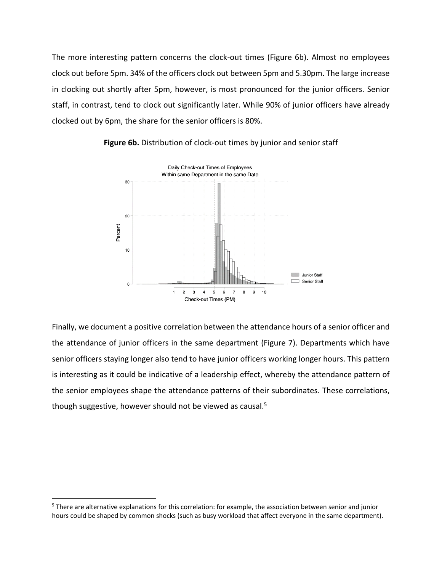The more interesting pattern concerns the clock-out times (Figure 6b). Almost no employees clock out before 5pm. 34% of the officers clock out between 5pm and 5.30pm. The large increase in clocking out shortly after 5pm, however, is most pronounced for the junior officers. Senior staff, in contrast, tend to clock out significantly later. While 90% of junior officers have already clocked out by 6pm, the share for the senior officers is 80%.



**Figure 6b.** Distribution of clock-out times by junior and senior staff

Finally, we document a positive correlation between the attendance hours of a senior officer and the attendance of junior officers in the same department (Figure 7). Departments which have senior officers staying longer also tend to have junior officers working longer hours. This pattern is interesting as it could be indicative of a leadership effect, whereby the attendance pattern of the senior employees shape the attendance patterns of their subordinates. These correlations, though suggestive, however should not be viewed as causal.<sup>5</sup>

<sup>5</sup> There are alternative explanations for this correlation: for example, the association between senior and junior hours could be shaped by common shocks (such as busy workload that affect everyone in the same department).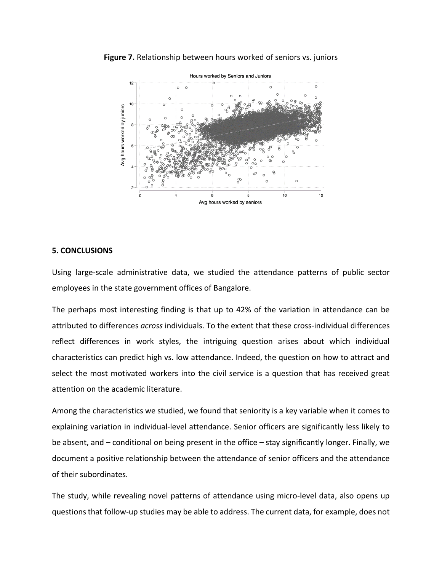

**Figure 7.** Relationship between hours worked of seniors vs. juniors

#### **5. CONCLUSIONS**

Using large-scale administrative data, we studied the attendance patterns of public sector employees in the state government offices of Bangalore.

The perhaps most interesting finding is that up to 42% of the variation in attendance can be attributed to differences *across* individuals. To the extent that these cross-individual differences reflect differences in work styles, the intriguing question arises about which individual characteristics can predict high vs. low attendance. Indeed, the question on how to attract and select the most motivated workers into the civil service is a question that has received great attention on the academic literature.

Among the characteristics we studied, we found that seniority is a key variable when it comes to explaining variation in individual-level attendance. Senior officers are significantly less likely to be absent, and – conditional on being present in the office – stay significantly longer. Finally, we document a positive relationship between the attendance of senior officers and the attendance of their subordinates.

The study, while revealing novel patterns of attendance using micro-level data, also opens up questions that follow-up studies may be able to address. The current data, for example, does not